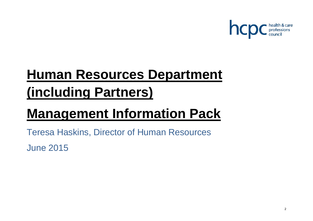

# **Human Resources Department (including Partners)**

# **Management Information Pack**

Teresa Haskins, Director of Human Resources

June 2015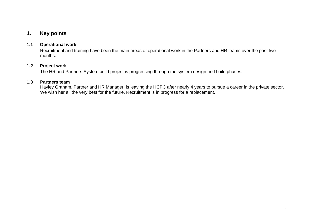# **1. Key points**

## **1.1 Operational work**

Recruitment and training have been the main areas of operational work in the Partners and HR teams over the past two months.

## **1.2 Project work**

The HR and Partners System build project is progressing through the system design and build phases.

## **1.3 Partners team**

Hayley Graham, Partner and HR Manager, is leaving the HCPC after nearly 4 years to pursue a career in the private sector. We wish her all the very best for the future. Recruitment is in progress for a replacement.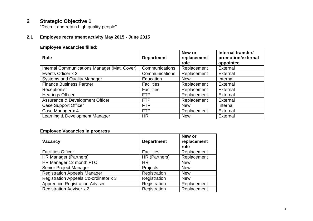# **2 Strategic Objective 1**

"Recruit and retain high quality people"

# **2.1 Employee recruitment activity May 2015 - June 2015**

# **Employee Vacancies filled:**

| <b>Role</b>                                  | <b>Department</b> | New or<br>replacement<br>role | Internal transfer/<br>promotion/external<br>appointee |
|----------------------------------------------|-------------------|-------------------------------|-------------------------------------------------------|
| Internal Communications Manager (Mat. Cover) | Communications    | Replacement                   | External                                              |
| Events Officer x 2                           | Communications    | Replacement                   | External                                              |
| <b>Systems and Quality Manager</b>           | Education         | <b>New</b>                    | Internal                                              |
| <b>Finance Business Partner</b>              | <b>Facilities</b> | Replacement                   | <b>External</b>                                       |
| Receptionist                                 | <b>Facilities</b> | Replacement                   | External                                              |
| <b>Hearings Officer</b>                      | <b>FTP</b>        | Replacement                   | External                                              |
| Assurance & Development Officer              | <b>FTP</b>        | Replacement                   | External                                              |
| <b>Case Support Officer</b>                  | <b>FTP</b>        | <b>New</b>                    | Internal                                              |
| Case Manager x 4                             | <b>FTP</b>        | Replacement                   | External                                              |
| Learning & Development Manager               | <b>HR</b>         | <b>New</b>                    | External                                              |

## **Employee Vacancies in progress**

| <b>Vacancy</b>                         | <b>Department</b> | New or<br>replacement<br>role |
|----------------------------------------|-------------------|-------------------------------|
| <b>Facilities Officer</b>              | <b>Facilities</b> | Replacement                   |
| HR Manager (Partners)                  | HR (Partners)     | Replacement                   |
| HR Manager 12 month FTC                | <b>HR</b>         | <b>New</b>                    |
| Senior Project Manager                 | Projects          | <b>New</b>                    |
| <b>Registration Appeals Manager</b>    | Registration      | <b>New</b>                    |
| Registration Appeals Co-ordinator x 3  | Registration      | <b>New</b>                    |
| <b>Apprentice Registration Adviser</b> | Registration      | Replacement                   |
| <b>Registration Adviser x 2</b>        | Registration      | Replacement                   |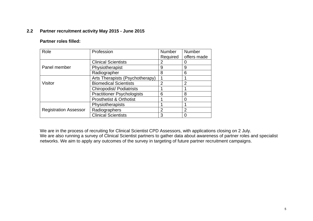## **2.2 Partner recruitment activity May 2015 - June 2015**

#### **Partner roles filled:**

| Role                         | Profession                         | Number   | Number         |
|------------------------------|------------------------------------|----------|----------------|
|                              |                                    | Required | offers made    |
|                              | <b>Clinical Scientists</b>         | 2        |                |
| Panel member                 | Physiotherapist                    | 9        | 9              |
|                              | Radiographer                       | 8        | 6              |
|                              | Arts Therapists (Psychotherapy)    |          |                |
| <b>Visitor</b>               | <b>Biomedical Scientists</b>       | 2        | $\overline{2}$ |
|                              | <b>Chiropodist/Podiatrists</b>     |          |                |
|                              | <b>Practitioner Psychologists</b>  | 6        | 8              |
|                              | <b>Prosthetist &amp; Orthotist</b> |          |                |
|                              | Physiotherapists                   |          |                |
| <b>Registration Assessor</b> | Radiographers                      | 2        | 2              |
|                              | <b>Clinical Scientists</b>         | 3        |                |

We are in the process of recruiting for Clinical Scientist CPD Assessors, with applications closing on 2 July. We are also running a survey of Clinical Scientist partners to gather data about awareness of partner roles and specialist networks. We aim to apply any outcomes of the survey in targeting of future partner recruitment campaigns.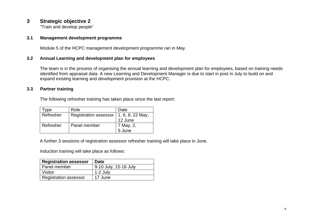# **3 Strategic objective 2**

"Train and develop people"

## **3.1 Management development programme**

Module 5 of the HCPC management development programme ran in May.

# **3.2 Annual Learning and development plan for employees**

The team is in the process of organising the annual learning and development plan for employees, based on training needs identified from appraisal data. A new Learning and Development Manager is due to start in post in July to build on and expand existing learning and development provision at the HCPC.

# **3.3 Partner training**

The following refresher training has taken place since the last report:

| Type      | Role                         | Date             |
|-----------|------------------------------|------------------|
| Refresher | <b>Registration assessor</b> | 1, 6, 8, 22 May, |
|           |                              | 12 June          |
| Refresher | Panel member                 | 7 May, 2,        |
|           |                              | 5 June           |

A further 3 sessions of registration assessor refresher training will take place in June.

Induction training will take place as follows:

| <b>Registration assessor</b> | <b>Date</b>           |
|------------------------------|-----------------------|
| Panel member                 | 9-10 July, 15-16 July |
| Visitor                      | 1-2 July              |
| Registration assessor        | 17 June               |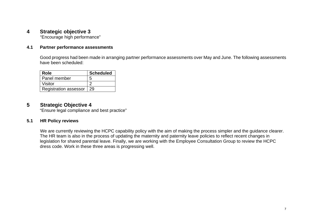# **4 Strategic objective 3**

"Encourage high performance"

### **4.1 Partner performance assessments**

Good progress had been made in arranging partner performance assessments over May and June. The following assessments have been scheduled:

| Role                         | <b>Scheduled</b> |
|------------------------------|------------------|
| Panel member                 | 5                |
| Visitor                      |                  |
| <b>Registration assessor</b> | 29               |

# **5 Strategic Objective 4**

"Ensure legal compliance and best practice"

## **5.1 HR Policy reviews**

We are currently reviewing the HCPC capability policy with the aim of making the process simpler and the guidance clearer. The HR team is also in the process of updating the maternity and paternity leave policies to reflect recent changes in legislation for shared parental leave. Finally, we are working with the Employee Consultation Group to review the HCPC dress code. Work in these three areas is progressing well.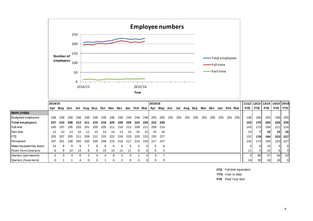

|                             | 2014/15       |      |         |     |     |     |     |          |     |      |     |             | 2015/16 |       |     |     |     |                                                                             |     |     |     |     |     | 11/12   12/13   13/14   14/15   15/16 |            |                 |                 |                |
|-----------------------------|---------------|------|---------|-----|-----|-----|-----|----------|-----|------|-----|-------------|---------|-------|-----|-----|-----|-----------------------------------------------------------------------------|-----|-----|-----|-----|-----|---------------------------------------|------------|-----------------|-----------------|----------------|
|                             | Apr           | Mav  | Jun Jul |     |     |     |     |          |     |      |     |             |         |       |     |     |     | Aug Sep Oct Nov Dec Jan Feb Mar Apr May Jun Jul Aug Sep Nov Dec Jan Feb Mar |     |     |     |     |     | <b>FYE</b>                            | <b>FYE</b> | <b>FYE</b> I    |                 | <b>FYE YTD</b> |
| <b>EMPLOYEES</b>            |               |      |         |     |     |     |     |          |     |      |     |             |         |       |     |     |     |                                                                             |     |     |     |     |     |                                       |            |                 |                 |                |
| <b>Budgeted employees</b>   | 248           | 248  | 248     | 248 | 248 | 248 | 248 | 248      | 248 | 248  | 248 | 248 I       | 255     | 255   | 255 | 255 | 255 | 255                                                                         | 255 | 255 | 255 | 255 | 255 | 148                                   | 186        | 204             |                 | 248 255        |
| Total employees             | 207           | 210  | 208     | 213 | 211 | 215 | 218 | 225      | 229 | 228  | 223 | <b>2261</b> | 223     | - 230 |     |     |     |                                                                             |     |     |     |     |     | 153                                   | 179        | 204             | 226             | 230            |
| Full-time                   | 195           | 197  | 195     | 203 | 201 | 200 | 205 | 211      | 216 | 213  | 208 | 211         | 208     | - 214 |     |     |     |                                                                             |     |     |     |     |     | 143 <sup>1</sup>                      | 173        | 194             | 211             | 214            |
| <b>Part-time</b>            | 12            | 13   | 13      | 10  | 11  | 15  | 14  | 14       | 13  | 15   | 15  | 15          | 15      | 16    |     |     |     |                                                                             |     |     |     |     |     | 10 <sup>1</sup>                       |            | <b>101</b>      | 15 <sup>1</sup> | 16             |
| <b>IFTE</b>                 | 203           | -207 | 205     | 211 | 209 | 212 | 215 | 222      | 226 | 225  | 220 | <b>223</b>  | 220     | -227  |     |     |     |                                                                             |     |     |     |     |     | 151                                   | 178        | 194             | 223             | - 227          |
| Permanent                   | 197           | 201  | 198     | 200 | 203 | 206 | 208 | 215      | 218 | -217 | 214 | <b>220</b>  | 217     | -227  |     |     |     |                                                                             |     |     |     |     |     | 142                                   | 174        | 194             | 220             | 227            |
| Maternity/paternity leave   | 13            | 9    | 9       | 9   |     |     |     | ิค       | 6   |      |     |             |         | 6     |     |     |     |                                                                             |     |     |     |     |     |                                       |            | 10 <sup>1</sup> | 51              | 61             |
| <b>Fixed-Term Contracts</b> | 9             | 9    | 10      | 13  | 8   | 9   | 10  | 10       |     | 11   | 9   |             | 6       | З     |     |     |     |                                                                             |     |     |     |     |     | 11                                    |            | 10 <sup>1</sup> |                 |                |
| Starters (permanent)        | $\mathcal{P}$ | 3    | 3       | 6   |     |     |     | 8        |     | 5    |     |             |         |       |     |     |     |                                                                             |     |     |     |     |     | 4                                     | 86         | 47              | 44              | 10 I           |
| Starters (fixed-term)       | 0             |      |         |     |     | 3   |     | $\theta$ |     | 6    |     |             |         |       |     |     |     |                                                                             |     |     |     |     |     | 24                                    | 30         | 18 <sub>l</sub> | 18              | $\overline{0}$ |

**FTE** Full-time equivalent

**YTD** Year to Date

**FYE** Final Year End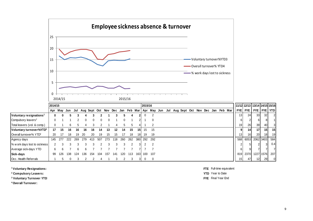

|                                     | 2014/15 |             |     |     |     |                  |     |     |     |     |     |       | 2015/16 |                             |     |     |                                  |  |  |  |                 |              |                 |                 | 11/12 12/13 13/14 14/15 15/16 |
|-------------------------------------|---------|-------------|-----|-----|-----|------------------|-----|-----|-----|-----|-----|-------|---------|-----------------------------|-----|-----|----------------------------------|--|--|--|-----------------|--------------|-----------------|-----------------|-------------------------------|
|                                     | Apr May |             | Jun |     |     | Jul Aug Sept Oct |     |     |     |     |     |       |         | Nov Dec Jan Feb Mar Apr May | Jun | Jul | Aug Sept Oct Nov Dec Jan Feb Mar |  |  |  | <b>FYE</b>      | <b>FYE</b> I | <b>FYE</b>      |                 | <b>FYEL YTDL</b>              |
| Voluntary resignations <sup>1</sup> | 0       | 0           |     |     |     |                  |     |     |     |     |     |       |         |                             |     |     |                                  |  |  |  | 13 <sup>l</sup> | 24           | 33 <sub>l</sub> | 32 <sub>l</sub> | 2 <sup>1</sup>                |
| Compulsory leavers <sup>2</sup>     |         |             |     |     |     |                  |     |     |     | 0   |     |       |         | 0                           |     |     |                                  |  |  |  |                 |              | 61              | 8               |                               |
| Total leavers (vol. & comp.)        |         |             | 6   |     |     |                  |     |     |     |     |     |       |         |                             |     |     |                                  |  |  |  | 19 <sup>l</sup> | 26           | 39              | 40              | 3 <sup>l</sup>                |
| Voluntary turnover%YTD3             | 17      | 15          | 16  | 16  | 16  | 16               | 14  | 13  | 12  | 14  | 15  | 151   | 15      | 15                          |     |     |                                  |  |  |  |                 | 14           | 17              | 15 <sup>1</sup> | 15 <sup>1</sup>               |
| Overall turnover% YTD <sup>4</sup>  | 20      |             | 18  | 19  | -20 | 20               | 19  | 15  | 15  |     | 18  | 18    | 19      | -19                         |     |     |                                  |  |  |  | 13              | 161          | <b>20</b>       | 18              | 19                            |
| Agency days                         | 145     | -277        | 222 | 269 | 279 | 413              | 507 | 273 | 118 | 260 | 262 | 380 l | 292     | 292                         |     |     |                                  |  |  |  | 568             | 6053         |                 | 2062 3403       | 584                           |
| % w ork days lost to sickness       |         |             |     |     |     |                  |     |     |     |     |     | 3     |         | 2                           |     |     |                                  |  |  |  |                 |              |                 |                 | 0.4                           |
| Average sick-days YTD               | 6       |             |     |     |     |                  |     |     |     |     |     |       |         |                             |     |     |                                  |  |  |  |                 |              |                 |                 | 71                            |
| Sick-days                           | 99      | 126         | 138 | 124 | 136 | 154              | 104 | 157 | 141 | 120 | 113 | 1631  | 100     | 107                         |     |     |                                  |  |  |  | 819             | 2370         | 1227            | 1576            | 207                           |
| Occ. Health Referrals               |         | $5^{\circ}$ |     |     |     |                  |     |     |     |     | 3   |       | 0       | $\Omega$                    |     |     |                                  |  |  |  | 15 <sup>1</sup> | 47           | 12              | 29              | $\overline{0}$                |

**1 Voluntary Resignations: FTE** Full-time equivalent

<sup>2</sup> Compulsory Leavers: **YTD** Year to Date

**3 Voluntary Turnover YTD**: **FYE** Final Year End

**4 Overall Turnover:**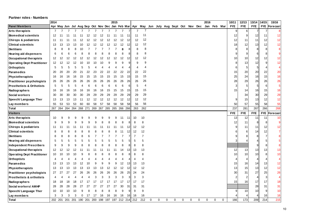#### **Partner roles - Numbers**

|                                      | 2014           |                |          |          |     |           |                |           |              | 2015      |                                                 |     |                |                |                               |             |          |          |          |          |             | 2016     |             |             | 10/11      | 12/13          | 13/14      | 14/15          | 15/16          |
|--------------------------------------|----------------|----------------|----------|----------|-----|-----------|----------------|-----------|--------------|-----------|-------------------------------------------------|-----|----------------|----------------|-------------------------------|-------------|----------|----------|----------|----------|-------------|----------|-------------|-------------|------------|----------------|------------|----------------|----------------|
| <b>Panel Members</b>                 |                |                |          |          |     |           |                |           |              |           | Apr May Jun Jul Aug Sep Oct Nov Dec Jan Feb Mar |     | Apr May        |                | Jun July Aug Sept Oct Nov Dec |             |          |          |          |          |             |          | Jan Feb Mar |             | <b>FYE</b> | <b>FYE</b>     | <b>FYE</b> |                | FYE Forecast   |
| Arts therapists                      | $\overline{7}$ | $\overline{7}$ | 7        |          |     |           | $\overline{7}$ | 7         |              |           |                                                 |     | $\overline{7}$ | 7              |                               |             |          |          |          |          |             |          |             |             | 9          | 6              |            | 7              |                |
| <b>Biomedical scientists</b>         | 12             | -11            | 11       | 11       | -11 | 12        | 12             | 12        | 11           | 11        | 11                                              | -11 | 11             | 11             |                               |             |          |          |          |          |             |          |             |             | 12         | 9              | 12         | 11             | 12             |
| <b>Chirops &amp; podiatrists</b>     | 11             | 11             |          |          | 12  | 12        | 12             | 12        | 12           | 12        | 12                                              | 12  | 12             | 12             |                               |             |          |          |          |          |             |          |             |             | 12         | 11             | 11         | 12             | 12             |
| <b>Clinical scientists</b>           | 13             | 13             | 13       | 13       | 10  | 12        | 12             | 12        | 12           | 12        | 12                                              | 12  | 12             | 12             |                               |             |          |          |          |          |             |          |             |             | 18         | 12             | 13         | 12             | 12             |
| <b>Dietitians</b>                    | 8              | 8              | 8        | 8        | 10  |           | 7              |           |              | 7         | 8                                               | 8   | 8              | 8              |                               |             |          |          |          |          |             |          |             |             |            | 8              | 8          | 8              | 8              |
| <b>Hearing aid dispensers</b>        | 6              | 6              | 6        | 6        |     | 8         | 8              |           | 8            | 8         |                                                 | 8   | 8              | 8              |                               |             |          |          |          |          |             |          |             |             |            | 9              | 6          | 8              |                |
| <b>Occupational therapists</b>       | 12             | 12             | 12       | 12       | 12  | 12        | 12             | 12        | 12           | 12        | 12                                              | 12  | 12             | 12             |                               |             |          |          |          |          |             |          |             |             | 10         | 10             | 12         | 12             | 12             |
| <b>Operating Dept Practitioner</b>   | 12             | -12            | 12       | 12       | 10  | 10        |                | 10        |              | g         |                                                 | 9   | 9              | 9              |                               |             |          |          |          |          |             |          |             |             | 8          | 13             | 12         | 9 <sub>l</sub> | 12             |
| <b>Orthoptists</b>                   | 5              | 5              | 5        | 5        |     |           |                |           |              |           |                                                 | 4   |                | 4              |                               |             |          |          |          |          |             |          |             |             | 6          | 5              | 5          | 4              |                |
| <b>Paramedics</b>                    | 20             | 20             | 20       |          | 21  | 22        |                | 22        | 22           | 22        | 22                                              | 22  | 22             | 22             |                               |             |          |          |          |          |             |          |             |             | 15         | 20             | 20         | 22             | 20             |
| <b>Physiotherapists</b>              | 16             | 16             | 16       | 16       | 15  | 15        | 15             | 15        | 15           | 15        | 15                                              | 15  | 15             | 15             |                               |             |          |          |          |          |             |          |             |             | 25         | 24             | 16         | 15             | 16             |
| <b>Practitioner psychologists</b>    | 26             | 26             | 26       | 26       | 26  | 26        | 26             | 26        | 26           | 26        | 26                                              | 26  | 26             | 26             |                               |             |          |          |          |          |             |          |             |             | 28         | 29             | 26         | 26             | 26             |
| <b>Prosthetists &amp; Orthotists</b> | 5              | 5              | 5        | 5        |     | 6         | 6              |           | 6            | 6         |                                                 | 6   | 5              | 4              |                               |             |          |          |          |          |             |          |             |             | 3          | 5              | 5          | $6 \mid$       | 5              |
| Radiographers                        | 16             | 16             | 16       | 16       | 16  | 16        | 16             | 16        | 15           | 15        | 15                                              | 15  | 15             | 15             |                               |             |          |          |          |          |             |          |             |             | 15         | 14             | 16         | 15             | 16             |
| Social workers                       | 30             | 30             | 30       | 30       | 30  | 29        | 29             | 29        | 29           | 29        | 29                                              | 29  | 29             | 29             |                               |             |          |          |          |          |             |          |             |             |            | 34             | 30         | 29             | 29             |
| Speech/ Language Ther                | 13             | 13             | 13       | 13       | -11 | 12        | 12             | 12        | 12           | 12        | 12                                              | 12  | 12             | 12             |                               |             |          |          |          |          |             |          |             |             |            | 15             | 13         | 12             | 12             |
| Lay members                          | 55             | 53             | 53       | 53       | 60  | 60        | 58             | 57        | 58           | 58        | 58                                              | 58  | 56             | 56             |                               |             |          |          |          |          |             |          |             |             | 50         | 57             | 55         | 58             | 55             |
| <b>Total</b>                         | 267 264        |                | 264      | 264      | 268 | 271       | 269            | 267       | 265          | 265       | 266 266                                         |     | 263            | 262            |                               |             |          |          |          |          |             |          |             |             | 237        | 281            | 267        | 266            | 268            |
| <b>Visitors</b>                      |                |                |          |          |     |           |                |           |              |           |                                                 |     |                |                |                               |             |          |          |          |          |             |          |             |             | <b>FYE</b> | <b>FYE</b>     | <b>FYE</b> |                | FYE Forecast   |
| Arts therapists                      | 10             |                | g        |          |     | g         |                |           |              | 9         | 11                                              | 11  | 10             | 10             |                               |             |          |          |          |          |             |          |             |             | 13         | 12             | 11         | 11             | 10             |
| <b>Biomedical scientists</b>         | 9              | q              | 9        | 9        |     | 9         | 9              |           | 8            |           |                                                 | 8   | 8              | 8              |                               |             |          |          |          |          |             |          |             |             | 12         | 11             |            |                | g              |
|                                      |                |                |          |          |     |           |                |           |              |           |                                                 |     |                |                |                               |             |          |          |          |          |             |          |             |             |            |                | 8          | 8 <sup>1</sup> |                |
| <b>Chirops &amp; podiatrists</b>     | 11             | 11             | 11       |          | 11  |           | -11            | 11        | 11           | 11        | 11                                              | 12  | 12             | 12             |                               |             |          |          |          |          |             |          |             |             |            | 11             | 11         | 12             | 12             |
| <b>Clinical scientists</b>           | 8              | 8              | 8        | Я        |     | R         | 8              | 8         | R            | 8         | 11                                              | 12  | 12             | 12             |                               |             |          |          |          |          |             |          |             |             |            | 6              | 14         | 12             | $\overline{7}$ |
| <b>Dietitians</b>                    | 8              |                | 8        | 8        |     |           |                |           |              |           |                                                 | 7   | 7              | $\overline{7}$ |                               |             |          |          |          |          |             |          |             |             |            | 8              | 8          | 7              |                |
| <b>Hearing aid dispensers</b>        | 5              | 5              | 5        | 5        |     | 5         | 5              |           |              | 5         |                                                 | 5   | 5              | 5              |                               |             |          |          |          |          |             |          |             |             |            |                |            | 5              |                |
| <b>Independent Prescribers</b>       | 9              |                | 9        | 9        |     |           | 8              |           |              | 8         |                                                 | 8   | 8              | 8              |                               |             |          |          |          |          |             |          |             |             |            |                | 9          | 8              | 8              |
| <b>Occupational therapists</b>       | 12             | 12             | 12       | 12       |     |           |                |           |              |           | 14                                              | 13  | 13             | 13             |                               |             |          |          |          |          |             |          |             |             | 12         | 13             | 13         | 13             | 13             |
| <b>Operating Dept Practitioner</b>   | 10             | 10             | 10       |          |     |           |                |           |              |           |                                                 | 8   | 8              | 8              |                               |             |          |          |          |          |             |          |             |             | 10         | 10             | 10         | 8              | 10             |
| <b>Orthoptists</b>                   | 4              |                |          |          |     |           |                |           |              |           |                                                 | 4   | $\overline{4}$ | 4              |                               |             |          |          |          |          |             |          |             |             | 4          | 4              | 4          | 4              |                |
| Paramedics                           | 13             | 13             | 13       | 13       |     | 10        | 9              |           | $\mathbf{Q}$ | 9         | 12                                              | 13  | 13             | 13             |                               |             |          |          |          |          |             |          |             |             | 15         | 16             | 14         | 13             | 12             |
| Physiotherapists                     | 13             | 13             | 13       | B        | 13  | 13        | 13             | 13        | 12           | 12        | 12                                              | 12  | 12             | 12             |                               |             |          |          |          |          |             |          |             |             | 13         | 15             | 13         | 12             | 12             |
| <b>Practitioner psychologists</b>    | 27             | 27             | 27       | 27       | 26  | 26        | 26             | 26        | 26           | 26        | 26                                              | 25  | 24             | 24             |                               |             |          |          |          |          |             |          |             |             | 30         | 31             | 27         | 25             | 26             |
| <b>Prosthetists &amp; orthotists</b> | 4              |                |          |          |     | 4         | 3              | 3         | 3            | 3         | 3                                               | 3   | 3              | 3              |                               |             |          |          |          |          |             |          |             |             |            | $\overline{2}$ |            | 3 <sup>1</sup> |                |
| Radiographers                        | 18             | 18             | 18       | 18       | 17  | 17        | 17             | 17        | 17           | 17        | 17                                              | 17  | 17             | 17             |                               |             |          |          |          |          |             |          |             |             | 15         | 16             | 17         | 17             | 18             |
| Social workers/ AMHP                 | 28             | 28             | 28       | 28       | 27  | 27        | 27             | 27        | 27           | 27        | 30                                              | 31  | 31             | 31             |                               |             |          |          |          |          |             |          |             |             |            |                | 28         | 31             | 31             |
| Speech/ Language Ther                | 10             | 10             | 10       | 10       |     | 8         | 8              | 8         | 8            | 8         | 9                                               | 9   | 9              | 9              |                               |             |          |          |          |          |             |          |             |             | g          | 10             | 10         | 9              | 10             |
| Lay members<br><b>Total</b>          | 3<br>202       | 201            | 3<br>201 | 3<br>201 | 190 | 17<br>201 | 17<br>200      | 16<br>198 | 16<br>197    | 16<br>197 | 16<br>212 214                                   | 16  | 16<br>212      | 16<br>212      | $\Omega$                      | $\mathbf 0$ | $\Omega$ | $\Omega$ | $\Omega$ | $\Omega$ | $\mathbf 0$ | $\Omega$ | $\mathbf 0$ | $\mathbf 0$ | 166        | 173            | 209        | 16<br>214      | 16<br>215      |